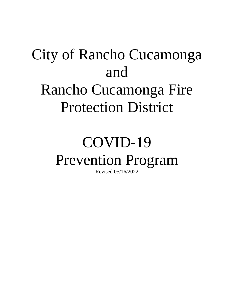# City of Rancho Cucamonga and Rancho Cucamonga Fire Protection District

# COVID-19 Prevention Program

Revised 05/16/2022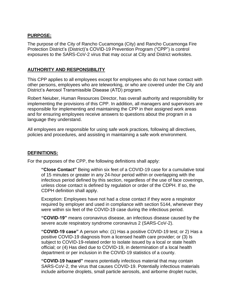#### **PURPOSE:**

The purpose of the City of Rancho Cucamonga (City) and Rancho Cucamonga Fire Protection District's (District)'s COVID-19 Prevention Program ("CPP") is control exposures to the SARS-CoV-2 virus that may occur at City and District worksites.

#### **AUTHORITY AND RESPONSIBILITY**

This CPP applies to all employees except for employees who do not have contact with other persons, employees who are teleworking, or who are covered under the City and District's Aerosol Transmissible Disease (ATD) program.

Robert Neiuber, Human Resources Director, has overall authority and responsibility for implementing the provisions of this CPP. In addition, all managers and supervisors are responsible for implementing and maintaining the CPP in their assigned work areas and for ensuring employees receive answers to questions about the program in a language they understand.

All employees are responsible for using safe work practices, following all directives, policies and procedures, and assisting in maintaining a safe work environment.

#### **DEFINITIONS:**

For the purposes of the CPP, the following definitions shall apply:

**"Close Contact"** Being within six feet of a COVID-19 case for a cumulative total of 15 minutes or greater in any 24-hour period within or overlapping with the infectious period defined by this section, regardless of the use of face coverings, unless close contact is defined by regulation or order of the CDPH. If so, the CDPH definition shall apply.

Exception: Employees have not had a close contact if they wore a respirator required by employer and used in compliance with section 5144, whenever they were within six feet of the COVID-19 case during the infectious period.

**"COVID-19"** means coronavirus disease, an infectious disease caused by the severe acute respiratory syndrome coronavirus 2 (SARS-CoV-2).

**"COVID-19 case"** A person who: (1) Has a positive COVID-19 test; or 2) Has a positive COVID-19 diagnosis from a licensed health care provider; or (3) Is subject to COVID-19-related order to isolate issued by a local or state health official; or (4) Has died due to COVID-19, in determination of a local health department or per inclusion in the COVID-19 statistics of a county.

**"COVID-19 hazard"** means potentially infectious material that may contain SARS-CoV-2, the virus that causes COVID-19. Potentially infectious materials include airborne droplets, small particle aerosols, and airborne droplet nuclei,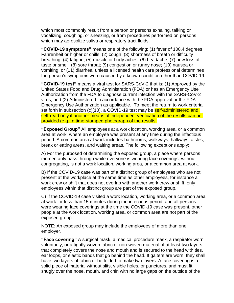which most commonly result from a person or persons exhaling, talking or vocalizing, coughing, or sneezing, or from procedures performed on persons which may aerosolize saliva or respiratory tract fluids.

**"COVID-19 symptoms"** means one of the following: (1) fever of 100.4 degrees Fahrenheit or higher or chills; (2) cough; (3) shortness of breath or difficulty breathing; (4) fatigue; (5) muscle or body aches; (6) headache; (7) new loss of taste or smell; (8) sore throat; (9) congestion or runny nose; (10) nausea or vomiting; or (11) diarrhea, unless a licensed health care professional determines the person's symptoms were caused by a known condition other than COVID-19.

**"COVID-19 test"** means a viral test for SARS-CoV-2 that is: (1) Approved by the United States Food and Drug Administration (FDA) or has an Emergency Use Authorization from the FDA to diagnose current infection with the SARS-CoV-2 virus; and (2) Administered in accordance with the FDA approval or the FDA Emergency Use Authorization as applicable. To meet the return to work criteria set forth in subsection (c)(10), a COVID-19 test may be **self-administered and** self-read only if another means of independent verification of the results can be provided (e.g., a time-stamped photograph of the results.

**"Exposed Group"** All employees at a work location, working area, or a common area at work, where an employee was present at any time during the infectious period. A common area at work includes bathrooms, walkways, hallways, aisles, break or eating areas, and waiting areas. The following exceptions apply;

A) For the purposed of determining the exposed group, a place where persons momentarily pass through while everyone is wearing face coverings, without congregating, is not a work location, working area, or a common area at work.

B) If the COVID-19 case was part of a distinct group of employees who are not present at the workplace at the same time as other employees, for instance a work crew or shift that does not overlap with another work crew or shift, only employees within that distinct group are part of the exposed group.

C) If the COVID-19 case visited a work location, working area, or a common area at work for less than 15 minutes during the infectious period, and all persons were wearing face coverings at the time the COVID-19 case was present, other people at the work location, working area, or common area are not part of the exposed group.

NOTE: An exposed group may include the employees of more than one employer.

**"Face covering"** A surgical mask, a medical procedure mask, a respirator worn voluntarily, or a tightly woven fabric or non-woven material of at least two layers that completely covers the nose and mouth and is secured to the head with ties, ear loops, or elastic bands that go behind the head. If gaiters are worn, they shall have two layers of fabric or be folded to make two layers. A face covering is a solid piece of material without slits, visible holes, or punctures, and must fit snugly over the nose, mouth, and chin with no large gaps on the outside of the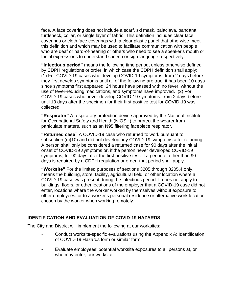face. A face covering does not include a scarf, ski mask, balaclava, bandana, turtleneck, collar, or single layer of fabric. This definition includes clear face coverings or cloth face coverings with a clear plastic panel that otherwise meet this definition and which may be used to facilitate communication with people who are deaf or hard-of-hearing or others who need to see a speaker's mouth or facial expressions to understand speech or sign language respectively.

**"Infectious period"** means the following time period, unless otherwise defined by CDPH regulations or order, in which case the CDPH definition shall apply: (1) For COVID-19 cases who develop COVID-19 symptoms: from 2 days before they first develop symptoms until all of the following are true; it has been 10 days since symptoms first appeared, 24 hours have passed with no fever, without the use of fever-reducing medications, and symptoms have improved. (2) For COVID-19 cases who never develop COVID-19 symptoms: from 2 days before until 10 days after the specimen for their first positive test for COVID-19 was collected.

**"Respirator"** A respiratory protection device approved by the National Institute for Occupational Safety and Health (NIOSH) to protect the wearer from particulate matters, such as an N95 filtering facepiece respirator.

**"Returned case"** A COVID-19 case who returned to work pursuant to subsection (c)(10) and did not develop any COVID-19 symptoms after returning. A person shall only be considered a returned case for 90 days after the initial onset of COVID-19 symptoms or, if the person never developed COVID-19 symptoms, for 90 days after the first positive test. If a period of other than 90 days is required by a CDPH regulation or order, that period shall apply.

**"Worksite"** For the limited purposes of sections 3205 through 3205.4 only, means the building, store, facility, agricultural field, or other location where a COVID-19 case was present during the infectious period. It does not apply to buildings, floors, or other locations of the employer that a COVID-19 case did not enter, locations where the worker worked by themselves without exposure to other employees, or to a worker's personal residence or alternative work location chosen by the worker when working remotely.

# **IDENTIFICATION AND EVALUATION OF COVID-19 HAZARDS**

The City and District will implement the following at our worksites:

- Conduct worksite-specific evaluations using the Appendix A: Identification of COVID-19 Hazards form or similar form.
- Evaluate employees' potential worksite exposures to all persons at, or who may enter, our worksite.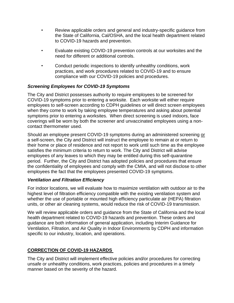- Review applicable orders and general and industry-specific guidance from the State of California, Cal/OSHA, and the local health department related to COVID-19 hazards and prevention.
- Evaluate existing COVID-19 prevention controls at our worksites and the need for different or additional controls.
- Conduct periodic inspections to identify unhealthy conditions, work practices, and work procedures related to COVID-19 and to ensure compliance with our COVID-19 policies and procedures.

# *Screening Employees for COVID-19 Symptoms*

The City and District possesses authority to require employees to be screened for COVID-19 symptoms prior to entering a worksite. Each worksite will either require employees to self-screen according to CDPH guidelines or will direct screen employees when they come to work by taking employee temperatures and asking about potential symptoms prior to entering a worksites. When direct screening is used indoors, face coverings will be worn by both the screener and unvaccinated employees using a noncontact thermometer used.

Should an employee present COVID-19 symptoms during an administered screening or a self-screen, the City and District will instruct the employee to remain at or return to their home or place of residence and not report to work until such time as the employee satisfies the minimum criteria to return to work. The City and District will advise employees of any leaves to which they may be entitled during this self-quarantine period. Further, the City and District has adopted policies and procedures that ensure the confidentiality of employees and comply with the CMIA, and will not disclose to other employees the fact that the employees presented COVID-19 symptoms.

#### *Ventilation and Filtration Efficiency*

For indoor locations, we will evaluate how to maximize ventilation with outdoor air to the highest level of filtration efficiency compatible with the existing ventilation system and whether the use of portable or mounted high efficiency particulate air (HEPA) filtration units, or other air cleaning systems, would reduce the risk of COVID-19 transmission.

We will review applicable orders and guidance from the State of California and the local health department related to COVID-19 hazards and prevention. These orders and guidance are both information of general application, including Interim Guidance for Ventilation, Filtration, and Air Quality in Indoor Environments by CDPH and information specific to our industry, location, and operations.

# **CORRECTION OF COVID-19 HAZARDS**

The City and District will implement effective policies and/or procedures for correcting unsafe or unhealthy conditions, work practices, policies and procedures in a timely manner based on the severity of the hazard.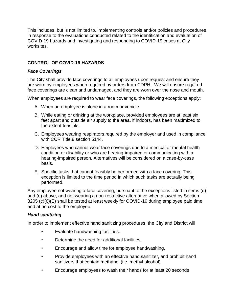This includes, but is not limited to, implementing controls and/or policies and procedures in response to the evaluations conducted related to the identification and evaluation of COVID-19 hazards and investigating and responding to COVID-19 cases at City worksites.

# **CONTROL OF COVID-19 HAZARDS**

#### *Face Coverings*

The City shall provide face coverings to all employees upon request and ensure they are worn by employees when required by orders from CDPH. We will ensure required face coverings are clean and undamaged, and they are worn over the nose and mouth.

When employees are required to wear face coverings, the following exceptions apply:

- A. When an employee is alone in a room or vehicle.
- B. While eating or drinking at the workplace, provided employees are at least six feet apart and outside air supply to the area, if indoors, has been maximized to the extent feasible.
- C. Employees wearing respirators required by the employer and used in compliance with CCR Title 8 section 5144.
- D. Employees who cannot wear face coverings due to a medical or mental health condition or disability or who are hearing-impaired or communicating with a hearing-impaired person. Alternatives will be considered on a case-by-case basis.
- E. Specific tasks that cannot feasibly be performed with a face covering. This exception is limited to the time period in which such tasks are actually being performed.

Any employee not wearing a face covering, pursuant to the exceptions listed in items (d) and (e) above, and not wearing a non-restrictive alternative when allowed by Section 3205 (c)(6)(E) shall be tested at least weekly for COVID-19 during employee paid time and at no cost to the employee.

#### *Hand sanitizing*

In order to implement effective hand sanitizing procedures, the City and District will

- Evaluate handwashing facilities.
- Determine the need for additional facilities.
- Encourage and allow time for employee handwashing.
- Provide employees with an effective hand sanitizer, and prohibit hand sanitizers that contain methanol (i.e. methyl alcohol).
- Encourage employees to wash their hands for at least 20 seconds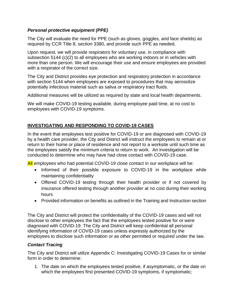# *Personal protective equipment (PPE)*

The City will evaluate the need for PPE (such as gloves, goggles, and face shields) as required by CCR Title 8, section 3380, and provide such PPE as needed.

Upon request, we will provide respirators for voluntary use, in compliance with subsection 5144 (c)(2) to all employees who are working indoors or in vehicles with more than one person. We will encourage their use and ensure employees are provided with a respirator of the correct size.

The City and District provides eye protection and respiratory protection in accordance with section 5144 when employees are exposed to procedures that may aerosolize potentially infectious material such as saliva or respiratory tract fluids.

Additional measures will be utilized as required by state and local health departments.

We will make COVID-19 testing available, during employee paid time, at no cost to employees with COVID-19 symptoms.

# **INVESTIGATING AND RESPONDING TO COVID-19 CASES**

In the event that employees test positive for COVID-19 or are diagnosed with COVID-19 by a health care provider, the City and District will instruct the employees to remain at or return to their home or place of residence and not report to a worksite until such time as the employees satisfy the minimum criteria to return to work. An investigation will be conducted to determine who may have had close contact with COVID-19 case.

All employees who had potential COVID-19 close contact in our workplace will be:

- Informed of their possible exposure to COVID-19 in the workplace while maintaining confidentiality
- Offered COVID-19 testing through their health provider or if not covered by insurance offered testing through another provider at no cost during their working hours
- Provided information on benefits as outlined in the Training and Instruction section

The City and District will protect the confidentiality of the COVID-19 cases and will not disclose to other employees the fact that the employees tested positive for or were diagnosed with COVID-19. The City and District will keep confidential all personal identifying information of COVID-19 cases unless expressly authorized by the employees to disclose such information or as other permitted or required under the law.

# *Contact Tracing*

The City and District will utilize Appendix C: Investigating COVID-19 Cases for or similar form in order to determine:

1. The date on which the employees tested positive, if asymptomatic, or the date on which the employees first presented COVID-19 symptoms, if symptomatic;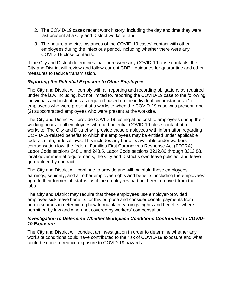- 2. The COVID-19 cases recent work history, including the day and time they were last present at a City and District worksite; and
- 3. The nature and circumstances of the COVID-19 cases' contact with other employees during the infectious period, including whether there were any COVID-19 close contacts.

If the City and District determines that there were any COVID-19 close contacts, the City and District will review and follow current CDPH guidance for quarantine and other measures to reduce transmission.

#### *Reporting the Potential Exposure to Other Employees*

The City and District will comply with all reporting and recording obligations as required under the law, including, but not limited to, reporting the COVID-19 case to the following individuals and institutions as required based on the individual circumstances: (1) employees who were present at a worksite when the COVID-19 case was present; and (2) subcontracted employees who were present at the worksite.

The City and District will provide COVID-19 testing at no cost to employees during their working hours to all employees who had potential COVID-19 close contact at a worksite. The City and District will provide these employees with information regarding COVID-19-related benefits to which the employees may be entitled under applicable federal, state, or local laws. This includes any benefits available under workers' compensation law, the federal Families First Coronavirus Response Act (FFCRA), Labor Code sections 248.1 and 248.5, Labor Code sections 3212.86 through 3212.88, local governmental requirements, the City and District**'**s own leave policies, and leave guaranteed by contract.

The City and District will continue to provide and will maintain these employees' earnings, seniority, and all other employee rights and benefits, including the employees' right to their former job status, as if the employees had not been removed from their jobs.

The City and District may require that these employees use employer-provided employee sick leave benefits for this purpose and consider benefit payments from public sources in determining how to maintain earnings, rights and benefits, where permitted by law and when not covered by workers' compensation.

#### *Investigation to Determine Whether Workplace Conditions Contributed to COVID-19 Exposure*

The City and District will conduct an investigation in order to determine whether any worksite conditions could have contributed to the risk of COVID-19 exposure and what could be done to reduce exposure to COVID-19 hazards.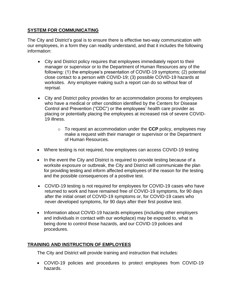# **SYSTEM FOR COMMUNICATING**

The City and District's goal is to ensure there is effective two-way communication with our employees, in a form they can readily understand, and that it includes the following information:

- City and District policy requires that employees immediately report to their manager or supervisor or to the Department of Human Resources any of the following: (1) the employee's presentation of COVID-19 symptoms; (2) potential close contact to a person with COVID-19; (3) possible COVID-19 hazards at worksites. Any employee making such a report can do so without fear of reprisal.
- City and District policy provides for an accommodation process for employees who have a medical or other condition identified by the Centers for Disease Control and Prevention ("CDC") or the employees' health care provider as placing or potentially placing the employees at increased risk of severe COVID-19 illness.
	- o To request an accommodation under the **CCP** policy, employees may make a request with their manager or supervisor or the Department of Human Resources.
- Where testing is not required, how employees can access COVID-19 testing
- In the event the City and District is required to provide testing because of a worksite exposure or outbreak, the City and District will communicate the plan for providing testing and inform affected employees of the reason for the testing and the possible consequences of a positive test.
- COVID-19 testing is not required for employees for COVID-19 cases who have returned to work and have remained free of COVID-19 symptoms, for 90 days after the initial onset of COVID-19 symptoms or, for COVID-19 cases who never developed symptoms, for 90 days after their first positive test.
- Information about COVID-19 hazards employees (including other employers and individuals in contact with our workplace) may be exposed to, what is being done to control those hazards, and our COVID-19 policies and procedures.

# **TRAINING AND INSTRUCTION OF EMPLOYEES**

The City and District will provide training and instruction that includes:

• COVID-19 policies and procedures to protect employees from COVID-19 hazards.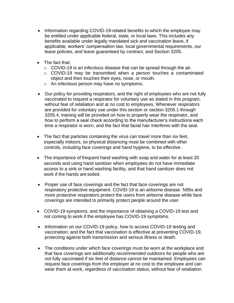- Information regarding COVID-19-related benefits to which the employee may be entitled under applicable federal, state, or local laws. This includes any benefits available under legally mandated sick and vaccination leave, if applicable, workers' compensation law, local governmental requirements, our leave policies, and leave guaranteed by contract, and Section 3205.
- The fact that:
	- o COVID-19 is an infectious disease that can be spread through the air.
	- o COVID-19 may be transmitted when a person touches a contaminated object and then touches their eyes, nose, or mouth.
	- o An infectious person may have no symptoms.
- Our policy for providing respirators, and the right of employees who are not fully vaccinated to request a respirator for voluntary use as stated in this program, without fear of retaliation and at no cost to employees. Whenever respirators are provided for voluntary use under this section or section 3205.1 through 3205.4, training will be provided on how to properly wear the respirator, and how to perform a seal check according to the manufacturer's instructions each time a respirator is worn, and the fact that facial hair interferes with the seal.
- The fact that particles containing the virus can travel more than six feet, especially indoors, so physical distancing must be combined with other controls, including face coverings and hand hygiene, to be effective.
- The importance of frequent hand washing with soap and water for at least 20 seconds and using hand sanitizer when employees do not have immediate access to a sink or hand washing facility, and that hand sanitizer does not work if the hands are soiled.
- Proper use of face coverings and the fact that face coverings are not respiratory protective equipment. COVID-19 is an airborne disease. N95s and more protective respirators protect the users from airborne disease while face coverings are intended to primarily protect people around the user.
- COVID-19 symptoms, and the importance of obtaining a COVID-19 test and not coming to work if the employee has COVID-19 symptoms.
- Information on our COVID-19 policy, how to access COVID-19 testing and vaccination; and the fact that vaccination is effective at preventing COVID-19, protecting against both transmission and serious illness or death.
- The conditions under which face coverings must be worn at the workplace and that face coverings are additionally recommended outdoors for people who are not fully vaccinated if six feet of distance cannot be maintained. Employees can request face coverings from the employer at no cost to the employee and can wear them at work, regardless of vaccination status, without fear of retaliation.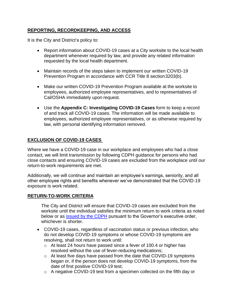# **REPORTING, RECORDKEEPING, AND ACCESS**

It is the City and District's policy to:

- Report information about COVID-19 cases at a City worksite to the local health department whenever required by law, and provide any related information requested by the local health department.
- Maintain records of the steps taken to implement our written COVID-19 Prevention Program in accordance with CCR Title 8 section3203(b).
- Make our written COVID-19 Prevention Program available at the worksite to employees, authorized employee representatives, and to representatives of Cal/OSHA immediately upon request.
- Use the **Appendix C: Investigating COVID-19 Cases** form to keep a record of and track all COVID-19 cases. The information will be made available to employees, authorized employee representatives, or as otherwise required by law, with personal identifying information removed.

# **EXCLUSION OF COVID-19 CASES**

Where we have a COVID-19 case in our workplace and employees who had a close contact, we will limit transmission by following CDPH guidance for persons who had close contacts and ensuring COVID-19 cases are excluded from the workplace until our return-to-work requirements are met.

Additionally, we will continue and maintain an employee's earnings, seniority, and all other employee rights and benefits whenever we've demonstrated that the COVID-19 exposure is work related.

#### **RETURN-TO-WORK CRITERIA**

The City and District will ensure that COVID-19 cases are excluded from the worksite until the individual satisfies the minimum return to work criteria as noted below or as [issued by the CDPH](https://www.cdph.ca.gov/Programs/CID/DCDC/Pages/COVID-19/Guidance-on-Isolation-and-Quarantine-for-COVID-19-Contact-Tracing.aspx) pursuant to the Governor's executive order, whichever is shorter.

- COVID-19 cases, regardless of vaccination status or previous infection, who do not develop COVID-19 symptoms or whose COVID-19 symptoms are resolving, shall not return to work until:
	- o At least 24 hours have passed since a fever of 100.4 or higher has resolved without the use of fever-reducing medications;
	- o At least five days have passed from the date that COVID-19 symptoms began or, if the person does not develop COVID-19 symptoms, from the date of first positive COVID-19 test;
	- o A negative COVID-19 test from a specimen collected on the fifth day or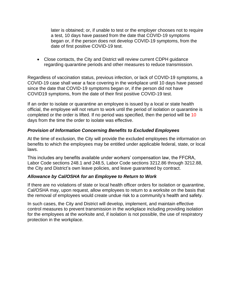later is obtained; or, if unable to test or the employer chooses not to require a test, 10 days have passed from the date that COVID-19 symptoms began or, if the person does not develop COVID-19 symptoms, from the date of first positive COVID-19 test.

• Close contacts, the City and District will review current CDPH guidance regarding quarantine periods and other measures to reduce transmission.

Regardless of vaccination status, previous infection, or lack of COVID-19 symptoms, a COVID-19 case shall wear a face covering in the workplace until 10 days have passed since the date that COVID-19 symptoms began or, if the person did not have COVID19 symptoms, from the date of their first positive COVID-19 test.

If an order to isolate or quarantine an employee is issued by a local or state health official, the employee will not return to work until the period of isolation or quarantine is completed or the order is lifted. If no period was specified, then the period will be 10 days from the time the order to isolate was effective.

# *Provision of Information Concerning Benefits to Excluded Employees*

At the time of exclusion, the City will provide the excluded employees the information on benefits to which the employees may be entitled under applicable federal, state, or local laws.

This includes any benefits available under workers' compensation law, the FFCRA, Labor Code sections 248.1 and 248.5, Labor Code sections 3212.86 through 3212.88, the City and District's own leave policies, and leave guaranteed by contract.

#### *Allowance by Cal/OSHA for an Employee to Return to Work*

If there are no violations of state or local health officer orders for isolation or quarantine, Cal/OSHA may, upon request, allow employees to return to a worksite on the basis that the removal of employees would create undue risk to a community's health and safety.

In such cases, the City and District will develop, implement, and maintain effective control measures to prevent transmission in the workplace including providing isolation for the employees at the worksite and, if isolation is not possible, the use of respiratory protection in the workplace.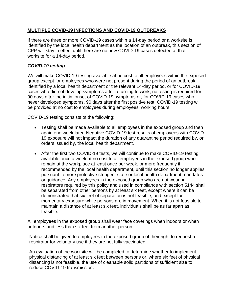# **MULTIPLE COVID-19 INFECTIONS AND COVID-19 OUTBREAKS**

If there are three or more COVID-19 cases within a 14-day period or a worksite is identified by the local health department as the location of an outbreak, this section of CPP will stay in effect until there are no new COVID-19 cases detected at that worksite for a 14-day period.

#### *COVID-19 testing*

We will make COVID-19 testing available at no cost to all employees within the exposed group except for employees who were not present during the period of an outbreak identified by a local health department or the relevant 14-day period, or for COVID-19 cases who did not develop symptoms after returning to work, no testing is required for 90 days after the initial onset of COVID-19 symptoms or, for COVID-19 cases who never developed symptoms, 90 days after the first positive test. COVID-19 testing will be provided at no cost to employees during employees' working hours.

COVID-19 testing consists of the following:

- Testing shall be made available to all employees in the exposed group and then again one week later. Negative COVID-19 test results of employees with COVID-19 exposure will not impact the duration of any quarantine period required by, or orders issued by, the local health department.
- After the first two COVID-19 tests, we will continue to make COVID-19 testing available once a week at no cost to all employees in the exposed group who remain at the workplace at least once per week, or more frequently if recommended by the local health department, until this section no longer applies, pursuant to more protective stringent state or local health department mandates or guidance. Any employees in the exposed group who are not wearing respirators required by this policy and used in compliance with section 5144 shall be separated from other persons by at least six feet, except where it can be demonstrated that six feet of separation is not feasible, and except for momentary exposure while persons are in movement. When it is not feasible to maintain a distance of at least six feet, individuals shall be as far apart as feasible.

All employees in the exposed group shall wear face coverings when indoors or when outdoors and less than six feet from another person.

Notice shall be given to employees in the exposed group of their right to request a respirator for voluntary use if they are not fully vaccinated.

An evaluation of the worksite will be completed to determine whether to implement physical distancing of at least six feet between persons or, where six feet of physical distancing is not feasible, the use of cleanable solid partitions of sufficient size to reduce COVID-19 transmission.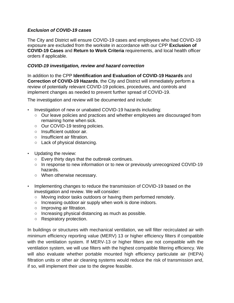# *Exclusion of COVID-19 cases*

The City and District will ensure COVID-19 cases and employees who had COVID-19 exposure are excluded from the worksite in accordance with our CPP **Exclusion of COVID-19 Cases** and **Return to Work Criteria** requirements, and local health officer orders if applicable.

# *COVID-19 investigation, review and hazard correction*

In addition to the CPP **Identification and Evaluation of COVID-19 Hazards** and **Correction of COVID-19 Hazards**, the City and District will immediately perform a review of potentially relevant COVID-19 policies, procedures, and controls and implement changes as needed to prevent further spread of COVID-19.

The investigation and review will be documented and include:

- Investigation of new or unabated COVID-19 hazards including:
	- Our leave policies and practices and whether employees are discouraged from remaining home when sick.
	- Our COVID-19 testing policies.
	- Insufficient outdoor air.
	- Insufficient air filtration.
	- Lack of physical distancing.
- Updating the review:
	- $\circ$  Every thirty days that the outbreak continues.
	- In response to new information or to new or previously unrecognized COVID-19 hazards.
	- When otherwise necessary.
- Implementing changes to reduce the transmission of COVID-19 based on the investigation and review. We will consider:
	- Moving indoor tasks outdoors or having them performed remotely.
	- Increasing outdoor air supply when work is done indoors.
	- Improving air filtration.
	- Increasing physical distancing as much as possible.
	- Respiratory protection.

In buildings or structures with mechanical ventilation, we will filter recirculated air with minimum efficiency reporting value (MERV) 13 or higher efficiency filters if compatible with the ventilation system. If MERV-13 or higher filters are not compatible with the ventilation system, we will use filters with the highest compatible filtering efficiency. We will also evaluate whether portable mounted high efficiency particulate air (HEPA) filtration units or other air cleaning systems would reduce the risk of transmission and, if so, will implement their use to the degree feasible.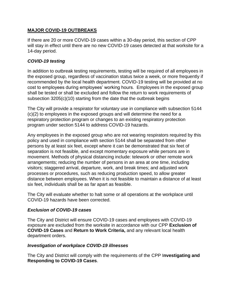# **MAJOR COVID-19 OUTBREAKS**

If there are 20 or more COVID-19 cases within a 30-day period, this section of CPP will stay in effect until there are no new COVID-19 cases detected at that worksite for a 14-day period.

# *COVID-19 testing*

In addition to outbreak testing requirements, testing will be required of all employees in the exposed group, regardless of vaccination status twice a week, or more frequently if recommended by the local health department. COVID-19 testing will be provided at no cost to employees during employees' working hours. Employees in the exposed group shall be tested or shall be excluded and follow the return to work requirements of subsection 3205(c)(10) starting from the date that the outbreak begins

The City will provide a respirator for voluntary use in compliance with subsection 5144 (c)(2) to employees in the exposed groups and will determine the need for a respiratory protection program or changes to an existing respiratory protection program under section 5144 to address COVID-19 hazards.

Any employees in the exposed group who are not wearing respirators required by this policy and used in compliance with section 5144 shall be separated from other persons by at least six feet, except where it can be demonstrated that six feet of separation is not feasible, and except momentary exposure while persons are in movement. Methods of physical distancing include: telework or other remote work arrangements; reducing the number of persons in an area at one time, including visitors; staggered arrival, departure, work, and break times; and adjusted work processes or procedures, such as reducing production speed, to allow greater distance between employees. When it is not feasible to maintain a distance of at least six feet, individuals shall be as far apart as feasible.

The City will evaluate whether to halt some or all operations at the workplace until COVID-19 hazards have been corrected.

#### *Exclusion of COVID-19 cases*

The City and District will ensure COVID-19 cases and employees with COVID-19 exposure are excluded from the worksite in accordance with our CPP **Exclusion of COVID-19 Cases** and **Return to Work Criteria,** and any relevant local health department orders.

#### *Investigation of workplace COVID-19 illnesses*

The City and District will comply with the requirements of the CPP I**nvestigating and Responding to COVID-19 Cases**.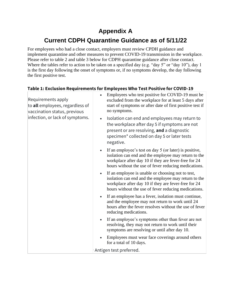# **Appendix A**

# **Current CDPH Quarantine Guidance as of 5/11/22**

For employees who had a close contact, employers must review CPDH guidance and implement quarantine and other measures to prevent COVID-19 transmission in the workplace. Please refer to table 2 and table 3 below for CDPH quarantine guidance after close contact. Where the tables refer to action to be taken on a specified day (e.g. "day 5" or "day 10"), day 1 is the first day following the onset of symptoms or, if no symptoms develop, the day following the first positive test.

#### **Table 1: Exclusion Requirements for Employees Who Test Positive for COVID-19**  $\frac{1}{2}$  Employees who test positive for COVID-19 must be

| Requirements apply<br>to all employees, regardless of<br>vaccination status, previous<br>infection, or lack of symptoms. | Employees who test positive for COVID-19 must be<br>excluded from the workplace for at least 5 days after<br>start of symptoms or after date of first positive test if<br>no symptoms.                                                 |
|--------------------------------------------------------------------------------------------------------------------------|----------------------------------------------------------------------------------------------------------------------------------------------------------------------------------------------------------------------------------------|
|                                                                                                                          | Isolation can end and employees may return to<br>the workplace after day 5 if symptoms are not<br>present or are resolving, and a diagnostic<br>specimen* collected on day 5 or later tests<br>negative.                               |
|                                                                                                                          | If an employee's test on day 5 (or later) is positive,<br>isolation can end and the employee may return to the<br>workplace after day 10 if they are fever-free for 24<br>hours without the use of fever reducing medications.         |
|                                                                                                                          | If an employee is unable or choosing not to test,<br>$\bullet$<br>isolation can end and the employee may return to the<br>workplace after day 10 if they are fever-free for 24<br>hours without the use of fever reducing medications. |
|                                                                                                                          | If an employee has a fever, isolation must continue,<br>and the employee may not return to work until 24<br>hours after the fever resolves without the use of fever<br>reducing medications.                                           |
|                                                                                                                          | If an employee's symptoms other than fever are not<br>resolving, they may not return to work until their<br>symptoms are resolving or until after day 10.                                                                              |
|                                                                                                                          | Employees must wear face coverings around others<br>for a total of 10 days.                                                                                                                                                            |
|                                                                                                                          | Antigen test preferred.                                                                                                                                                                                                                |